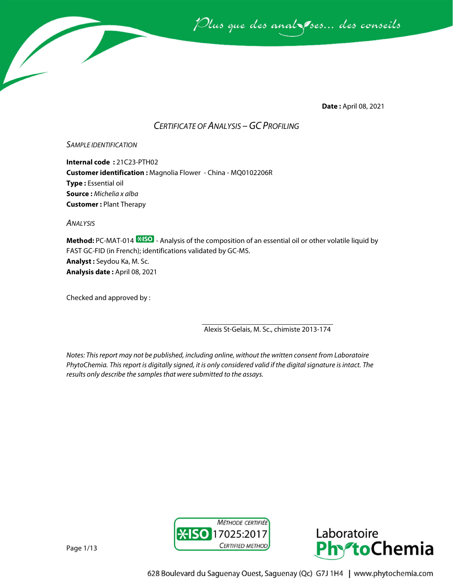

**Date :** April 08, 2021

# *CERTIFICATE OF ANALYSIS –GC PROFILING*

#### *SAMPLE IDENTIFICATION*

**Internal code :** 21C23-PTH02 **Customer identification :** Magnolia Flower - China - MQ0102206R **Type :** Essential oil **Source :** *Michelia x alba* **Customer :** Plant Therapy

*ANALYSIS*

**Method:** PC-MAT-014  $\frac{*}{*}$ **SO** - Analysis of the composition of an essential oil or other volatile liquid by FAST GC-FID (in French); identifications validated by GC-MS. **Analyst :** Seydou Ka, M. Sc. **Analysis date :** April 08, 2021

Checked and approved by :

Alexis St-Gelais, M. Sc., chimiste 2013-174

*Notes: This report may not be published, including online, without the written consent from Laboratoire PhytoChemia. This report is digitally signed, it is only considered valid if the digital signature is intact. The results only describe the samples that were submitted to the assays.*





Page 1/13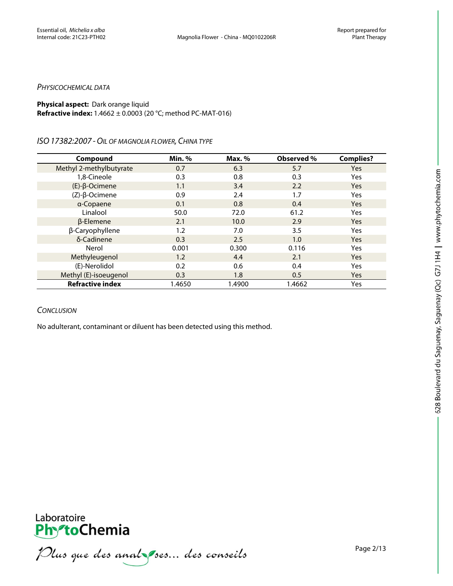#### *PHYSICOCHEMICAL DATA*

### **Physical aspect:** Dark orange liquid **Refractive index:** 1.4662 ± 0.0003 (20 °C; method PC-MAT-016)

#### *ISO17382:2007 -OIL OF MAGNOLIA FLOWER, CHINA TYPE*

| Compound                | Min.%  | Max. % | Observed % | <b>Complies?</b> |
|-------------------------|--------|--------|------------|------------------|
| Methyl 2-methylbutyrate | 0.7    | 6.3    | 5.7        | Yes              |
| 1,8-Cineole             | 0.3    | 0.8    | 0.3        | Yes              |
| $(E)-\beta$ -Ocimene    | 1.1    | 3.4    | 2.2        | <b>Yes</b>       |
| $(Z)-\beta$ -Ocimene    | 0.9    | 2.4    | 1.7        | Yes              |
| a-Copaene               | 0.1    | 0.8    | 0.4        | <b>Yes</b>       |
| Linalool                | 50.0   | 72.0   | 61.2       | Yes              |
| $\beta$ -Elemene        | 2.1    | 10.0   | 2.9        | <b>Yes</b>       |
| β-Caryophyllene         | 1.2    | 7.0    | 3.5        | Yes              |
| δ-Cadinene              | 0.3    | 2.5    | 1.0        | <b>Yes</b>       |
| Nerol                   | 0.001  | 0.300  | 0.116      | Yes              |
| Methyleugenol           | 1.2    | 4.4    | 2.1        | <b>Yes</b>       |
| (E)-Nerolidol           | 0.2    | 0.6    | 0.4        | Yes              |
| Methyl (E)-isoeugenol   | 0.3    | 1.8    | 0.5        | Yes              |
| <b>Refractive index</b> | 1.4650 | 1.4900 | 1.4662     | Yes              |

# *CONCLUSION*

No adulterant, contaminant or diluent has been detected using this method.



**PhroChemia**<br>*PhroChemia*<br>*Plus que des anal pres... des conseils*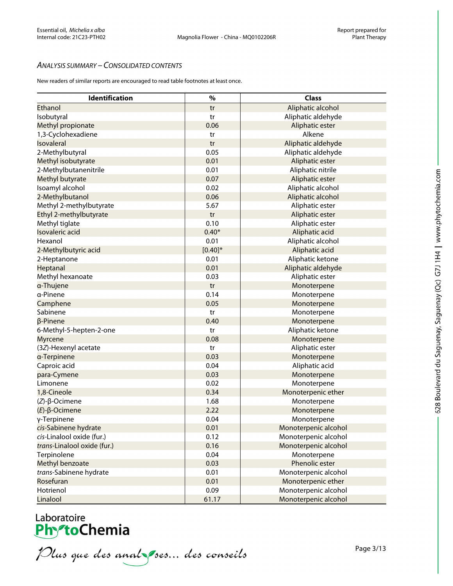# *ANALYSIS SUMMARY – CONSOLIDATED CONTENTS*

New readers of similar reports are encouraged to read table footnotes at least once.

| <b>Identification</b>       | $\%$       | <b>Class</b>         |
|-----------------------------|------------|----------------------|
| Ethanol                     | tr         | Aliphatic alcohol    |
| Isobutyral                  | tr         | Aliphatic aldehyde   |
| Methyl propionate           | 0.06       | Aliphatic ester      |
| 1,3-Cyclohexadiene          | tr         | Alkene               |
| <b>Isovaleral</b>           | tr         | Aliphatic aldehyde   |
| 2-Methylbutyral             | 0.05       | Aliphatic aldehyde   |
| Methyl isobutyrate          | 0.01       | Aliphatic ester      |
| 2-Methylbutanenitrile       | 0.01       | Aliphatic nitrile    |
| Methyl butyrate             | 0.07       | Aliphatic ester      |
| Isoamyl alcohol             | 0.02       | Aliphatic alcohol    |
| 2-Methylbutanol             | 0.06       | Aliphatic alcohol    |
| Methyl 2-methylbutyrate     | 5.67       | Aliphatic ester      |
| Ethyl 2-methylbutyrate      | tr         | Aliphatic ester      |
| Methyl tiglate              | 0.10       | Aliphatic ester      |
| Isovaleric acid             | $0.40*$    | Aliphatic acid       |
| Hexanol                     | 0.01       | Aliphatic alcohol    |
| 2-Methylbutyric acid        | $[0.40]$ * | Aliphatic acid       |
| 2-Heptanone                 | 0.01       | Aliphatic ketone     |
| Heptanal                    | 0.01       | Aliphatic aldehyde   |
| Methyl hexanoate            | 0.03       | Aliphatic ester      |
| a-Thujene                   | tr         | Monoterpene          |
| a-Pinene                    | 0.14       | Monoterpene          |
| Camphene                    | 0.05       | Monoterpene          |
| Sabinene                    | tr         | Monoterpene          |
| β-Pinene                    | 0.40       | Monoterpene          |
| 6-Methyl-5-hepten-2-one     | tr         | Aliphatic ketone     |
| <b>Myrcene</b>              | 0.08       | Monoterpene          |
| (3Z)-Hexenyl acetate        | tr         | Aliphatic ester      |
| a-Terpinene                 | 0.03       | Monoterpene          |
| Caproic acid                | 0.04       | Aliphatic acid       |
| para-Cymene                 | 0.03       | Monoterpene          |
| Limonene                    | 0.02       | Monoterpene          |
| 1,8-Cineole                 | 0.34       | Monoterpenic ether   |
| $(Z)-\beta$ -Ocimene        | 1.68       | Monoterpene          |
| $(E)$ -β-Ocimene            | 2.22       | Monoterpene          |
| γ-Terpinene                 | 0.04       | Monoterpene          |
| cis-Sabinene hydrate        | 0.01       | Monoterpenic alcohol |
| cis-Linalool oxide (fur.)   | 0.12       | Monoterpenic alcohol |
| trans-Linalool oxide (fur.) | 0.16       | Monoterpenic alcohol |
| Terpinolene                 | 0.04       | Monoterpene          |
| Methyl benzoate             | 0.03       | Phenolic ester       |
| trans-Sabinene hydrate      | 0.01       | Monoterpenic alcohol |
| Rosefuran                   | 0.01       | Monoterpenic ether   |
| Hotrienol                   | 0.09       | Monoterpenic alcohol |
| Linalool                    | 61.17      | Monoterpenic alcohol |

Laboratoire<br>**PhytoChemia**<br>*Plus que des anal ses... des conseils*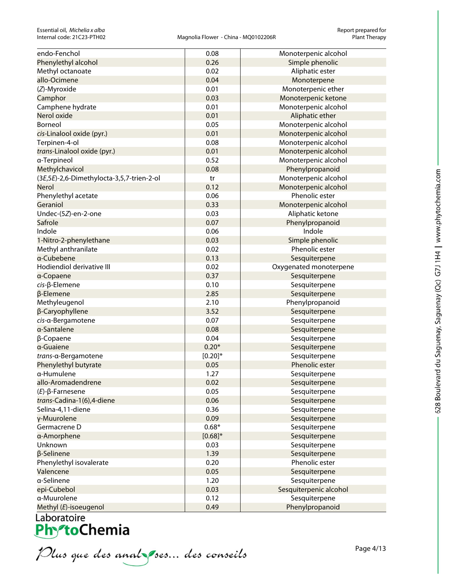| endo-Fenchol                              | 0.08       | Monoterpenic alcohol             |
|-------------------------------------------|------------|----------------------------------|
| Phenylethyl alcohol                       | 0.26       | Simple phenolic                  |
| Methyl octanoate                          | 0.02       | Aliphatic ester                  |
| allo-Ocimene                              | 0.04       | Monoterpene                      |
| (Z)-Myroxide                              | 0.01       | Monoterpenic ether               |
| Camphor                                   | 0.03       | Monoterpenic ketone              |
| Camphene hydrate                          | 0.01       | Monoterpenic alcohol             |
| Nerol oxide                               | 0.01       | Aliphatic ether                  |
| Borneol                                   | 0.05       | Monoterpenic alcohol             |
| cis-Linalool oxide (pyr.)                 | 0.01       | Monoterpenic alcohol             |
| Terpinen-4-ol                             | 0.08       | Monoterpenic alcohol             |
| trans-Linalool oxide (pyr.)               | 0.01       | Monoterpenic alcohol             |
| a-Terpineol                               | 0.52       | Monoterpenic alcohol             |
| Methylchavicol                            | 0.08       | Phenylpropanoid                  |
| (3E,5E)-2,6-Dimethylocta-3,5,7-trien-2-ol | tr         | Monoterpenic alcohol             |
| Nerol                                     | 0.12       | Monoterpenic alcohol             |
| Phenylethyl acetate                       | 0.06       | Phenolic ester                   |
| Geraniol                                  | 0.33       | Monoterpenic alcohol             |
| Undec-(5Z)-en-2-one                       | 0.03       | Aliphatic ketone                 |
| Safrole                                   | 0.07       | Phenylpropanoid                  |
| Indole                                    | 0.06       | Indole                           |
| 1-Nitro-2-phenylethane                    | 0.03       | Simple phenolic                  |
| Methyl anthranilate                       | 0.02       | Phenolic ester                   |
| a-Cubebene                                | 0.13       | Sesquiterpene                    |
| Hodiendiol derivative III                 | 0.02       | Oxygenated monoterpene           |
| a-Copaene                                 | 0.37       | Sesquiterpene                    |
| $cis$ - $\beta$ -Elemene                  | 0.10       | Sesquiterpene                    |
| β-Elemene                                 | 2.85       | Sesquiterpene                    |
|                                           | 2.10       |                                  |
| Methyleugenol<br>β-Caryophyllene          | 3.52       | Phenylpropanoid<br>Sesquiterpene |
| cis-a-Bergamotene                         | 0.07       |                                  |
| a-Santalene                               | 0.08       | Sesquiterpene                    |
|                                           | 0.04       | Sesquiterpene                    |
| $\beta$ -Copaene<br>a-Guaiene             | $0.20*$    | Sesquiterpene                    |
|                                           | $[0.20]$ * | Sesquiterpene                    |
| trans-α-Bergamotene                       |            | Sesquiterpene<br>Phenolic ester  |
| Phenylethyl butyrate<br>a-Humulene        | 0.05       |                                  |
|                                           | 1.27       | Sesquiterpene                    |
| allo-Aromadendrene                        | 0.02       | Sesquiterpene                    |
| $(E)$ - $\beta$ -Farnesene                | 0.05       | Sesquiterpene                    |
| trans-Cadina-1(6),4-diene                 | 0.06       | Sesquiterpene                    |
| Selina-4,11-diene                         | 0.36       | Sesquiterpene                    |
| y-Muurolene                               | 0.09       | Sesquiterpene                    |
| Germacrene D                              | $0.68*$    | Sesquiterpene                    |
| a-Amorphene                               | $[0.68]$ * | Sesquiterpene                    |
| Unknown                                   | 0.03       | Sesquiterpene                    |
| β-Selinene                                | 1.39       | Sesquiterpene                    |
| Phenylethyl isovalerate                   | 0.20       | Phenolic ester                   |
| Valencene                                 | 0.05       | Sesquiterpene                    |
| a-Selinene                                | 1.20       | Sesquiterpene                    |
| epi-Cubebol                               | 0.03       | Sesquiterpenic alcohol           |
| a-Muurolene                               | 0.12       | Sesquiterpene                    |
| Methyl (E)-isoeugenol                     | 0.49       | Phenylpropanoid                  |

Laboratoire<br>**Phy<sup>s</sup>toChemia** 

Plus que des analzes... des conseils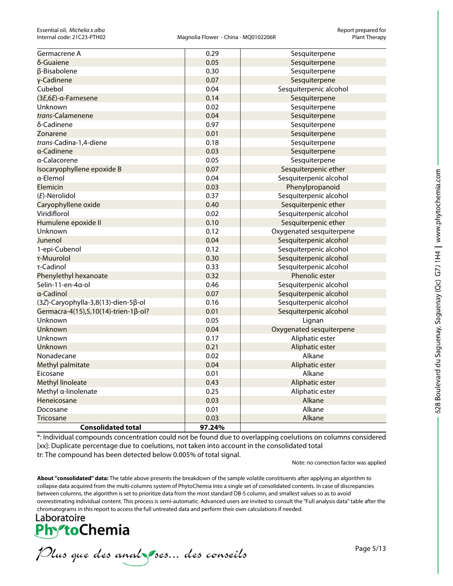| <b>Consolidated total</b>              | 97.24% |                          |
|----------------------------------------|--------|--------------------------|
| <b>Tricosane</b>                       | 0.03   | Alkane                   |
| Docosane                               | 0.01   | Alkane                   |
| Heneicosane                            | 0.03   | Alkane                   |
| Methyl a-linolenate                    | 0.25   | Aliphatic ester          |
| <b>Methyl linoleate</b>                | 0.43   | Aliphatic ester          |
| Eicosane                               | 0.01   | Alkane                   |
| Methyl palmitate                       | 0.04   | Aliphatic ester          |
| Nonadecane                             | 0.02   | Alkane                   |
| Unknown                                | 0.21   | Aliphatic ester          |
| Unknown                                | 0.17   | Aliphatic ester          |
| Unknown                                | 0.04   | Oxygenated sesquiterpene |
| Unknown                                | 0.05   | Lignan                   |
| Germacra-4(15), 5, 10(14)-trien-1β-ol? | 0.01   | Sesquiterpenic alcohol   |
| (3Z)-Caryophylla-3,8(13)-dien-5β-ol    | 0.16   | Sesquiterpenic alcohol   |
| α-Cadinol                              | 0.07   | Sesquiterpenic alcohol   |
| Selin-11-en-4α-ol                      | 0.46   | Sesquiterpenic alcohol   |
| Phenylethyl hexanoate                  | 0.32   | Phenolic ester           |
| τ-Cadinol                              | 0.33   | Sesquiterpenic alcohol   |
| τ-Muurolol                             | 0.30   | Sesquiterpenic alcohol   |
| 1-epi-Cubenol                          | 0.12   | Sesquiterpenic alcohol   |
| Junenol                                | 0.04   | Sesquiterpenic alcohol   |
| Unknown                                | 0.12   | Oxygenated sesquiterpene |
| Humulene epoxide II                    | 0.10   | Sesquiterpenic ether     |
| Viridiflorol                           | 0.02   | Sesquiterpenic alcohol   |
| Caryophyllene oxide                    | 0.40   | Sesquiterpenic ether     |
| (E)-Nerolidol                          | 0.37   | Sesquiterpenic alcohol   |
| Elemicin                               | 0.03   | Phenylpropanoid          |
| α-Elemol                               | 0.04   | Sesquiterpenic alcohol   |
| Isocaryophyllene epoxide B             | 0.07   | Sesquiterpenic ether     |
| a-Calacorene                           | 0.05   | Sesquiterpene            |
| a-Cadinene                             | 0.03   | Sesquiterpene            |
| trans-Cadina-1,4-diene                 | 0.18   | Sesquiterpene            |
| Zonarene                               | 0.01   | Sesquiterpene            |
| δ-Cadinene                             | 0.97   | Sesquiterpene            |
| trans-Calamenene                       | 0.04   | Sesquiterpene            |
| Unknown                                | 0.02   | Sesquiterpene            |
| (3E,6E)-α-Farnesene                    | 0.14   | Sesquiterpene            |
| Cubebol                                | 0.04   | Sesquiterpenic alcohol   |
| γ-Cadinene                             | 0.07   | Sesquiterpene            |
| β-Bisabolene                           | 0.30   | Sesquiterpene            |
| δ-Guaiene                              | 0.05   | Sesquiterpene            |
| Germacrene A                           | 0.29   | Sesquiterpene            |

\*: Individual compounds concentration could not be found due to overlapping coelutions on columns considered [xx]: Duplicate percentage due to coelutions, not taken into account in the consolidated total tr: The compound has been detected below 0.005% of total signal.

Note: no correction factor was applied

**About "consolidated" data:** The table above presents the breakdown of the sample volatile constituents after applying an algorithm to collapse data acquired from the multi-columns system of PhytoChemia into a single set of consolidated contents. In case of discrepancies between columns, the algorithm is set to prioritize data from the most standard DB-5 column, and smallest values so as to avoid overestimating individual content. This process is semi-automatic. Advanced users are invited to consult the "Full analysis data" table after the chromatograms in this report to access the full untreated data and perform their own calculations if needed.

Laboratoire **PhytoChemia** 

Plus que des analzes... des conseils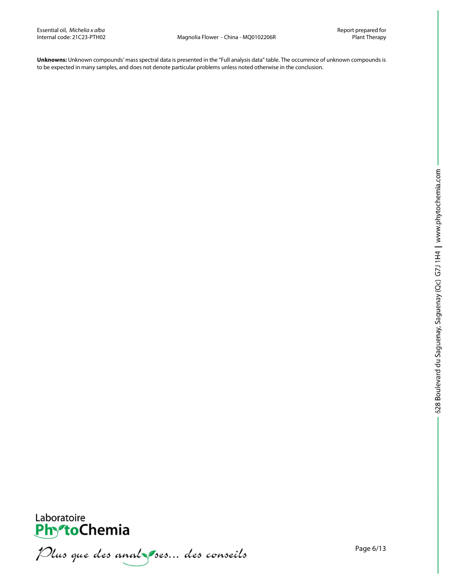**Unknowns:** Unknown compounds' mass spectral data is presented in the "Full analysis data" table. The occurrence of unknown compounds is to be expected in many samples, and does not denote particular problems unless noted otherwise in the conclusion.



Laboratoire<br>PhytoChemia<br>*Plus que des analyses*... *des conseils*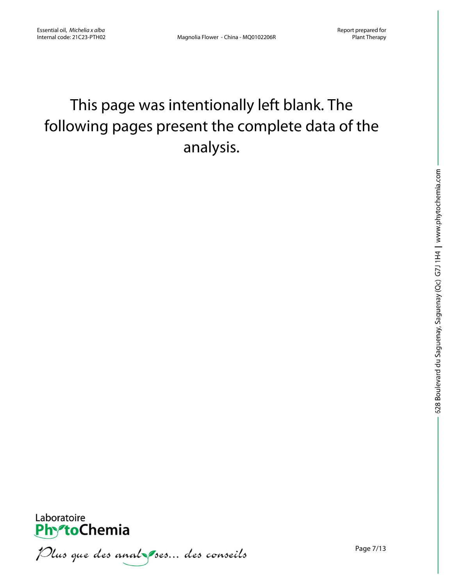# This page was intentionally left blank. The following pages present the complete data of the analysis.



Plus que des analzes... des conseils

Page 7/13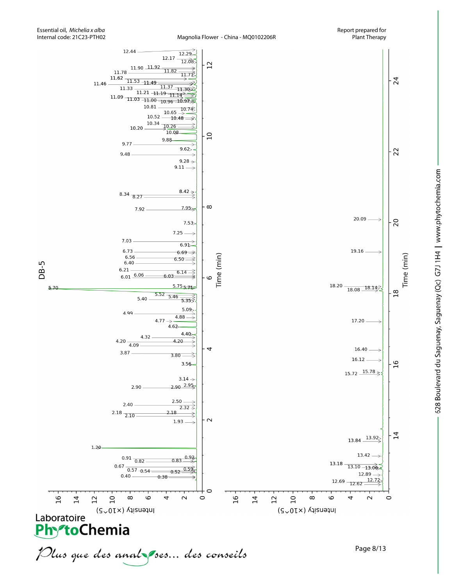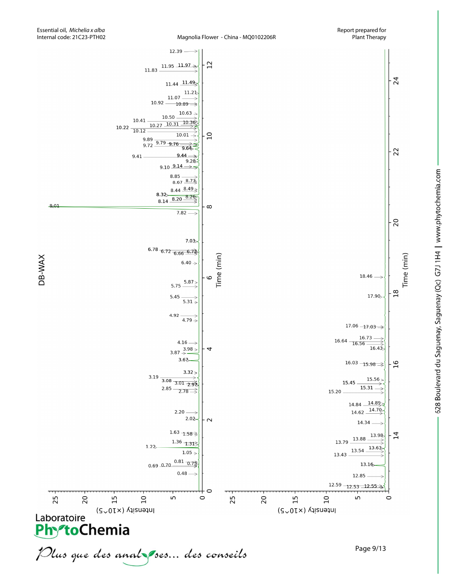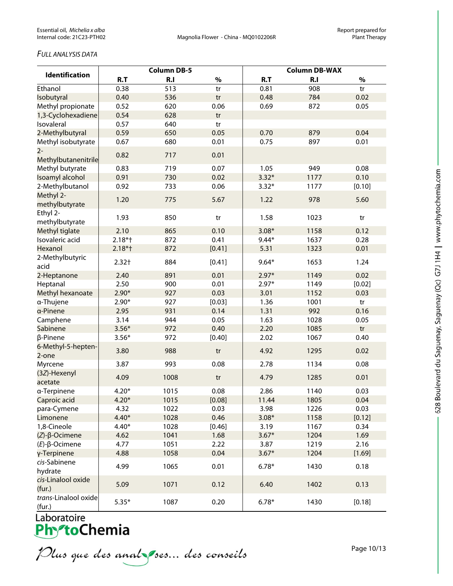# *FULL ANALYSIS DATA*

|                                | <b>Column DB-5</b> |      |        | <b>Column DB-WAX</b> |      |        |
|--------------------------------|--------------------|------|--------|----------------------|------|--------|
| <b>Identification</b>          | R.T                | R.I  | $\%$   | R.T                  | R.I  | $\%$   |
| Ethanol                        | 0.38               | 513  | tr     | 0.81                 | 908  | tr     |
| Isobutyral                     | 0.40               | 536  | tr     | 0.48                 | 784  | 0.02   |
| Methyl propionate              | 0.52               | 620  | 0.06   | 0.69                 | 872  | 0.05   |
| 1,3-Cyclohexadiene             | 0.54               | 628  | tr     |                      |      |        |
| Isovaleral                     | 0.57               | 640  | tr     |                      |      |        |
| 2-Methylbutyral                | 0.59               | 650  | 0.05   | 0.70                 | 879  | 0.04   |
| Methyl isobutyrate             | 0.67               | 680  | 0.01   | 0.75                 | 897  | 0.01   |
| $2 -$<br>Methylbutanenitrile   | 0.82               | 717  | 0.01   |                      |      |        |
| Methyl butyrate                | 0.83               | 719  | 0.07   | 1.05                 | 949  | 0.08   |
| Isoamyl alcohol                | 0.91               | 730  | 0.02   | $3.32*$              | 1177 | 0.10   |
| 2-Methylbutanol                | 0.92               | 733  | 0.06   | $3.32*$              | 1177 | [0.10] |
| Methyl 2-<br>methylbutyrate    | 1.20               | 775  | 5.67   | 1.22                 | 978  | 5.60   |
| Ethyl 2-                       | 1.93               | 850  | tr     | 1.58                 | 1023 | tr     |
| methylbutyrate                 |                    |      |        |                      |      |        |
| Methyl tiglate                 | 2.10               | 865  | 0.10   | $3.08*$              | 1158 | 0.12   |
| Isovaleric acid                | $2.18*$ †          | 872  | 0.41   | $9.44*$              | 1637 | 0.28   |
| Hexanol                        | $2.18*$ †          | 872  | [0.41] | 5.31                 | 1323 | 0.01   |
| 2-Methylbutyric<br>acid        | $2.32+$            | 884  | [0.41] | $9.64*$              | 1653 | 1.24   |
| 2-Heptanone                    | 2.40               | 891  | 0.01   | $2.97*$              | 1149 | 0.02   |
| Heptanal                       | 2.50               | 900  | 0.01   | $2.97*$              | 1149 | [0.02] |
| Methyl hexanoate               | $2.90*$            | 927  | 0.03   | 3.01                 | 1152 | 0.03   |
| a-Thujene                      | $2.90*$            | 927  | [0.03] | 1.36                 | 1001 | tr     |
| a-Pinene                       | 2.95               | 931  | 0.14   | 1.31                 | 992  | 0.16   |
| Camphene                       | 3.14               | 944  | 0.05   | 1.63                 | 1028 | 0.05   |
| Sabinene                       | $3.56*$            | 972  | 0.40   | 2.20                 | 1085 | tr     |
| β-Pinene                       | $3.56*$            | 972  | [0.40] | 2.02                 | 1067 | 0.40   |
| 6-Methyl-5-hepten-<br>2-one    | 3.80               | 988  | tr     | 4.92                 | 1295 | 0.02   |
| Myrcene                        | 3.87               | 993  | 0.08   | 2.78                 | 1134 | 0.08   |
| (3Z)-Hexenyl<br>acetate        | 4.09               | 1008 | tr     | 4.79                 | 1285 | 0.01   |
| a-Terpinene                    | $4.20*$            | 1015 | 0.08   | 2.86                 | 1140 | 0.03   |
| Caproic acid                   | $4.20*$            | 1015 | [0.08] | 11.44                | 1805 | 0.04   |
| para-Cymene                    | 4.32               | 1022 | 0.03   | 3.98                 | 1226 | 0.03   |
| Limonene                       | $4.40*$            | 1028 | 0.46   | $3.08*$              | 1158 | [0.12] |
| 1,8-Cineole                    | $4.40*$            | 1028 | [0.46] | 3.19                 | 1167 | 0.34   |
| $(Z)$ - $\beta$ -Ocimene       | 4.62               | 1041 | 1.68   | $3.67*$              | 1204 | 1.69   |
| $(E)$ -β-Ocimene               | 4.77               | 1051 | 2.22   | 3.87                 | 1219 | 2.16   |
| γ-Terpinene                    | 4.88               | 1058 | 0.04   | $3.67*$              | 1204 | [1.69] |
| cis-Sabinene                   |                    |      |        |                      |      |        |
| hydrate                        | 4.99               | 1065 | 0.01   | $6.78*$              | 1430 | 0.18   |
| cis-Linalool oxide<br>(fur.)   | 5.09               | 1071 | 0.12   | 6.40                 | 1402 | 0.13   |
| trans-Linalool oxide<br>(fur.) | $5.35*$            | 1087 | 0.20   | $6.78*$              | 1430 | [0.18] |

Laboratoire<br>**Phy<sup>s</sup>toChemia** 

Plus que des analzes... des conseils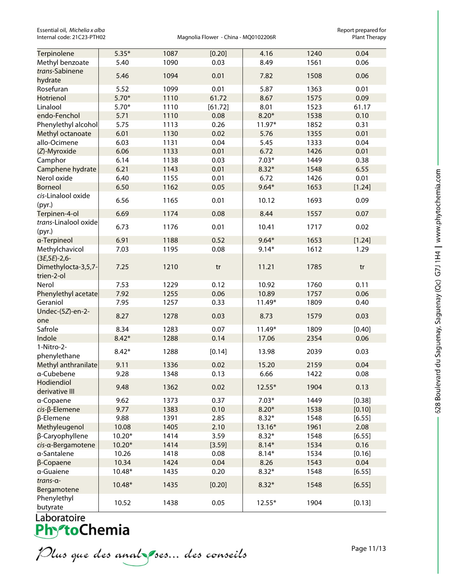Essential oil, *Michelia x alba* Report prepared for<br>
Internal code: 21C23-PTH02 **Report prepared for Magnolia Flower** - China - MQ0102206R **Report prepared for plant** 

Magnolia Flower - China - MQ0102206R

| Terpinolene                                | $5.35*$  | 1087 | [0.20]  | 4.16     | 1240 | 0.04   |
|--------------------------------------------|----------|------|---------|----------|------|--------|
| Methyl benzoate                            | 5.40     | 1090 | 0.03    | 8.49     | 1561 | 0.06   |
| trans-Sabinene                             | 5.46     | 1094 | 0.01    | 7.82     | 1508 | 0.06   |
| hydrate                                    |          |      |         |          |      |        |
| Rosefuran                                  | 5.52     | 1099 | 0.01    | 5.87     | 1363 | 0.01   |
| Hotrienol                                  | $5.70*$  | 1110 | 61.72   | 8.67     | 1575 | 0.09   |
| Linalool                                   | $5.70*$  | 1110 | [61.72] | 8.01     | 1523 | 61.17  |
| endo-Fenchol                               | 5.71     | 1110 | 0.08    | $8.20*$  | 1538 | 0.10   |
| Phenylethyl alcohol                        | 5.75     | 1113 | 0.26    | 11.97*   | 1852 | 0.31   |
| Methyl octanoate                           | 6.01     | 1130 | 0.02    | 5.76     | 1355 | 0.01   |
| allo-Ocimene                               | 6.03     | 1131 | 0.04    | 5.45     | 1333 | 0.04   |
| (Z)-Myroxide                               | 6.06     | 1133 | 0.01    | 6.72     | 1426 | 0.01   |
| Camphor                                    | 6.14     | 1138 | 0.03    | $7.03*$  | 1449 | 0.38   |
| Camphene hydrate                           | 6.21     | 1143 | 0.01    | $8.32*$  | 1548 | 6.55   |
| Nerol oxide                                | 6.40     | 1155 | 0.01    | 6.72     | 1426 | 0.01   |
| <b>Borneol</b>                             | 6.50     | 1162 | 0.05    | $9.64*$  | 1653 | [1.24] |
| cis-Linalool oxide<br>(pyr.)               | 6.56     | 1165 | 0.01    | 10.12    | 1693 | 0.09   |
| Terpinen-4-ol                              | 6.69     | 1174 | 0.08    | 8.44     | 1557 | 0.07   |
| trans-Linalool oxide<br>(pyr.)             | 6.73     | 1176 | 0.01    | 10.41    | 1717 | 0.02   |
| a-Terpineol                                | 6.91     | 1188 | 0.52    | $9.64*$  | 1653 | [1.24] |
| Methylchavicol                             | 7.03     | 1195 | 0.08    | $9.14*$  | 1612 | 1.29   |
| $(3E, 5E) - 2, 6 -$<br>Dimethylocta-3,5,7- | 7.25     | 1210 | tr      | 11.21    | 1785 | tr     |
| trien-2-ol                                 |          |      |         |          |      |        |
| Nerol                                      | 7.53     | 1229 | 0.12    | 10.92    | 1760 | 0.11   |
| Phenylethyl acetate                        | 7.92     | 1255 | 0.06    | 10.89    | 1757 | 0.06   |
| Geraniol                                   | 7.95     | 1257 | 0.33    | 11.49*   | 1809 | 0.40   |
| Undec-(5Z)-en-2-<br>one                    | 8.27     | 1278 | 0.03    | 8.73     | 1579 | 0.03   |
| Safrole                                    | 8.34     | 1283 | 0.07    | 11.49*   | 1809 | [0.40] |
| Indole                                     | $8.42*$  | 1288 | 0.14    | 17.06    | 2354 | 0.06   |
| 1-Nitro-2-                                 | $8.42*$  | 1288 | [0.14]  | 13.98    | 2039 | 0.03   |
| phenylethane                               |          |      |         |          |      |        |
| Methyl anthranilate                        | 9.11     | 1336 | 0.02    | 15.20    | 2159 | 0.04   |
| a-Cubebene                                 | 9.28     | 1348 | 0.13    | 6.66     | 1422 | 0.08   |
| Hodiendiol<br>derivative III               | 9.48     | 1362 | 0.02    | $12.55*$ | 1904 | 0.13   |
| a-Copaene                                  | 9.62     | 1373 | 0.37    | $7.03*$  | 1449 | [0.38] |
| cis-β-Elemene                              | 9.77     | 1383 | 0.10    | $8.20*$  | 1538 | [0.10] |
| β-Elemene                                  | 9.88     | 1391 | 2.85    | $8.32*$  | 1548 | [6.55] |
| Methyleugenol                              | 10.08    | 1405 | 2.10    | 13.16*   | 1961 | 2.08   |
| β-Caryophyllene                            | $10.20*$ | 1414 | 3.59    | $8.32*$  | 1548 | [6.55] |
| cis-a-Bergamotene                          | $10.20*$ | 1414 | [3.59]  | $8.14*$  | 1534 | 0.16   |
| a-Santalene                                | 10.26    | 1418 | 0.08    | $8.14*$  | 1534 | [0.16] |
| β-Copaene                                  | 10.34    | 1424 | 0.04    | 8.26     | 1543 | 0.04   |
| a-Guaiene                                  | 10.48*   | 1435 | 0.20    | $8.32*$  | 1548 | [6.55] |
| trans-a-<br>Bergamotene                    | 10.48*   | 1435 | [0.20]  | $8.32*$  | 1548 | [6.55] |
| Phenylethyl<br>butyrate                    | 10.52    | 1438 | 0.05    | $12.55*$ | 1904 | [0.13] |

Plus que des analzes... des conseils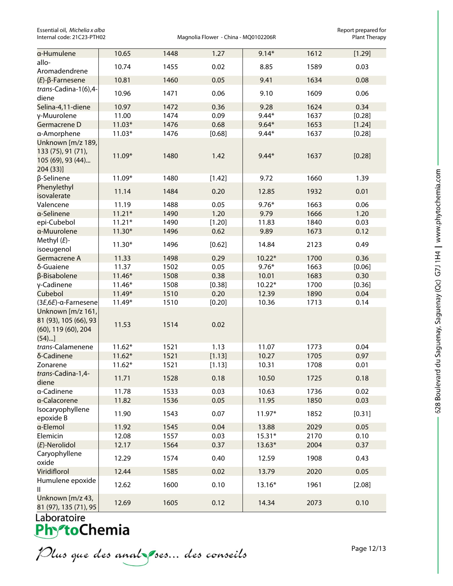Essential oil, *Michelia x alba* Report prepared for<br>Internal code: 21C23-PTH02 **Report prepared for Magnolia Flower** - China - MQ0102206R

Magnolia Flower - China - MQ0102206R

| a-Humulene                                                                                       | 10.65           | 1448         | 1.27           | $9.14*$  | 1612 | [1.29] |
|--------------------------------------------------------------------------------------------------|-----------------|--------------|----------------|----------|------|--------|
| allo-                                                                                            | 10.74           | 1455         | 0.02           | 8.85     | 1589 | 0.03   |
| Aromadendrene                                                                                    |                 |              |                |          |      |        |
| $(E)$ - $\beta$ -Farnesene                                                                       | 10.81           | 1460         | 0.05           | 9.41     | 1634 | 0.08   |
| trans-Cadina-1(6),4-<br>diene                                                                    | 10.96           | 1471         | 0.06           | 9.10     | 1609 | 0.06   |
| Selina-4,11-diene                                                                                | 10.97           | 1472         | 0.36           | 9.28     | 1624 | 0.34   |
| γ-Muurolene                                                                                      | 11.00           | 1474         | 0.09           | $9.44*$  | 1637 | [0.28] |
| Germacrene D                                                                                     | $11.03*$        | 1476         | 0.68           | $9.64*$  | 1653 | [1.24] |
| a-Amorphene                                                                                      | $11.03*$        | 1476         | [0.68]         | $9.44*$  | 1637 | [0.28] |
| Unknown [m/z 189,<br>133 (75), 91 (71),<br>105 (69), 93 (44)<br>204(33)]                         | 11.09*          | 1480         | 1.42           | $9.44*$  | 1637 | [0.28] |
| β-Selinene                                                                                       | 11.09*          | 1480         | [1.42]         | 9.72     | 1660 | 1.39   |
| Phenylethyl<br>isovalerate                                                                       | 11.14           | 1484         | 0.20           | 12.85    | 1932 | 0.01   |
| Valencene                                                                                        | 11.19           | 1488         | 0.05           | $9.76*$  | 1663 | 0.06   |
| a-Selinene                                                                                       | $11.21*$        | 1490         | 1.20           | 9.79     | 1666 | 1.20   |
| epi-Cubebol                                                                                      | $11.21*$        | 1490         | [1.20]         | 11.83    | 1840 | 0.03   |
| a-Muurolene                                                                                      | $11.30*$        | 1496         | 0.62           | 9.89     | 1673 | 0.12   |
| Methyl $(E)$ -                                                                                   |                 |              |                |          |      |        |
| isoeugenol                                                                                       | $11.30*$        | 1496         | [0.62]         | 14.84    | 2123 | 0.49   |
| Germacrene A                                                                                     | 11.33           | 1498         | 0.29           | $10.22*$ | 1700 | 0.36   |
| δ-Guaiene                                                                                        | 11.37           | 1502         | 0.05           | $9.76*$  | 1663 | [0.06] |
| β-Bisabolene                                                                                     | $11.46*$        | 1508         | 0.38           | 10.01    | 1683 | 0.30   |
| γ-Cadinene                                                                                       | $11.46*$        | 1508         | [0.38]         | $10.22*$ | 1700 | [0.36] |
| Cubebol                                                                                          | 11.49*          | 1510         | 0.20           | 12.39    | 1890 | 0.04   |
| (3E,6E)-α-Farnesene<br>Unknown [m/z 161,<br>81 (93), 105 (66), 93<br>(60), 119 (60), 204<br>(54) | 11.49*<br>11.53 | 1510<br>1514 | [0.20]<br>0.02 | 10.36    | 1713 | 0.14   |
| trans-Calamenene                                                                                 | $11.62*$        | 1521         | 1.13           | 11.07    | 1773 | 0.04   |
| δ-Cadinene                                                                                       | $11.62*$        | 1521         | [1.13]         | 10.27    | 1705 | 0.97   |
| Zonarene                                                                                         | $11.62*$        | 1521         | [1.13]         | 10.31    | 1708 | 0.01   |
| trans-Cadina-1,4-<br>diene                                                                       | 11.71           | 1528         | 0.18           | 10.50    | 1725 | 0.18   |
| a-Cadinene                                                                                       | 11.78           | 1533         | 0.03           | 10.63    | 1736 | 0.02   |
| a-Calacorene                                                                                     | 11.82           | 1536         | 0.05           | 11.95    | 1850 | 0.03   |
| Isocaryophyllene<br>epoxide B                                                                    | 11.90           | 1543         | 0.07           | 11.97*   | 1852 | [0.31] |
| a-Elemol                                                                                         | 11.92           | 1545         | 0.04           | 13.88    | 2029 | 0.05   |
| Elemicin                                                                                         | 12.08           | 1557         | 0.03           | $15.31*$ | 2170 | 0.10   |
| (E)-Nerolidol                                                                                    | 12.17           | 1564         | 0.37           | $13.63*$ | 2004 | 0.37   |
| Caryophyllene                                                                                    |                 |              |                |          |      |        |
| oxide                                                                                            | 12.29           | 1574         | 0.40           | 12.59    | 1908 | 0.43   |
| Viridiflorol                                                                                     | 12.44           | 1585         | 0.02           | 13.79    | 2020 | 0.05   |
| Humulene epoxide<br>Ш                                                                            | 12.62           | 1600         | 0.10           | 13.16*   | 1961 | [2.08] |
| Unknown [m/z 43,<br>81 (97), 135 (71), 95                                                        | 12.69           | 1605         | 0.12           | 14.34    | 2073 | 0.10   |

Plus que des anal ses... des conseils